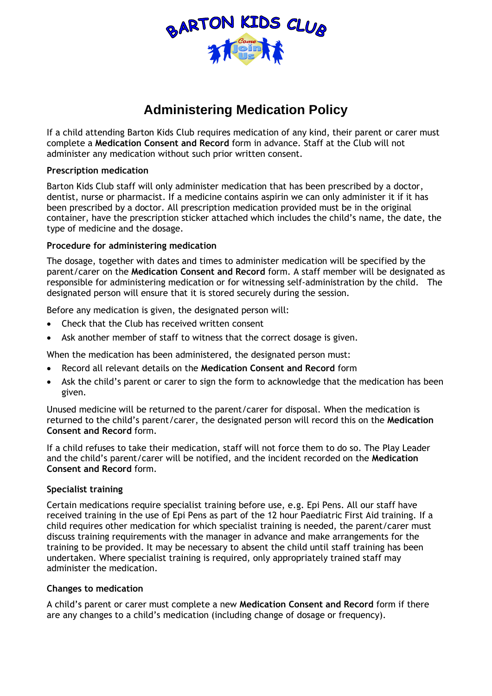

# **Administering Medication Policy**

If a child attending Barton Kids Club requires medication of any kind, their parent or carer must complete a **Medication Consent and Record** form in advance. Staff at the Club will not administer any medication without such prior written consent.

#### **Prescription medication**

Barton Kids Club staff will only administer medication that has been prescribed by a doctor, dentist, nurse or pharmacist. If a medicine contains aspirin we can only administer it if it has been prescribed by a doctor. All prescription medication provided must be in the original container, have the prescription sticker attached which includes the child's name, the date, the type of medicine and the dosage.

## **Procedure for administering medication**

The dosage, together with dates and times to administer medication will be specified by the parent/carer on the **Medication Consent and Record** form. A staff member will be designated as responsible for administering medication or for witnessing self-administration by the child. The designated person will ensure that it is stored securely during the session.

Before any medication is given, the designated person will:

- Check that the Club has received written consent
- Ask another member of staff to witness that the correct dosage is given.

When the medication has been administered, the designated person must:

- Record all relevant details on the **Medication Consent and Record** form
- Ask the child's parent or carer to sign the form to acknowledge that the medication has been given.

Unused medicine will be returned to the parent/carer for disposal. When the medication is returned to the child's parent/carer, the designated person will record this on the **Medication Consent and Record** form.

If a child refuses to take their medication, staff will not force them to do so. The Play Leader and the child's parent/carer will be notified, and the incident recorded on the **Medication Consent and Record** form.

## **Specialist training**

Certain medications require specialist training before use, e.g. Epi Pens. All our staff have received training in the use of Epi Pens as part of the 12 hour Paediatric First Aid training. If a child requires other medication for which specialist training is needed, the parent/carer must discuss training requirements with the manager in advance and make arrangements for the training to be provided. It may be necessary to absent the child until staff training has been undertaken. Where specialist training is required, only appropriately trained staff may administer the medication.

## **Changes to medication**

A child's parent or carer must complete a new **Medication Consent and Record** form if there are any changes to a child's medication (including change of dosage or frequency).